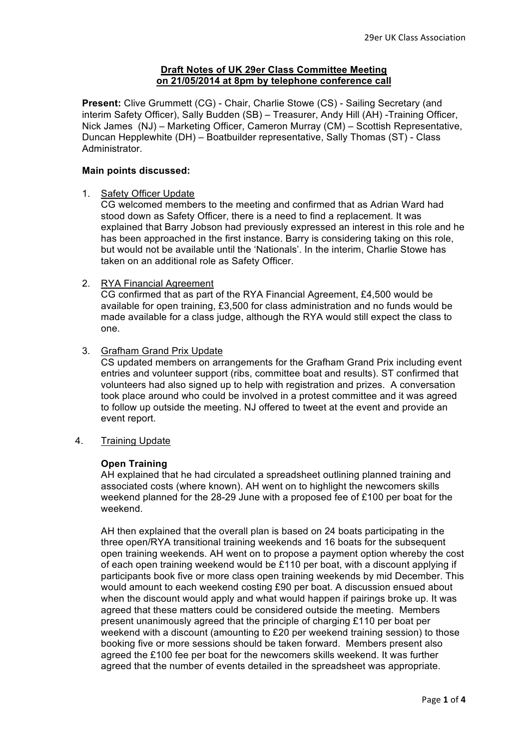## **Draft Notes of UK 29er Class Committee Meeting on 21/05/2014 at 8pm by telephone conference call**

**Present:** Clive Grummett (CG) - Chair, Charlie Stowe (CS) - Sailing Secretary (and interim Safety Officer), Sally Budden (SB) – Treasurer, Andy Hill (AH) -Training Officer, Nick James (NJ) – Marketing Officer, Cameron Murray (CM) – Scottish Representative, Duncan Hepplewhite (DH) – Boatbuilder representative, Sally Thomas (ST) - Class Administrator.

### **Main points discussed:**

### 1. Safety Officer Update

CG welcomed members to the meeting and confirmed that as Adrian Ward had stood down as Safety Officer, there is a need to find a replacement. It was explained that Barry Jobson had previously expressed an interest in this role and he has been approached in the first instance. Barry is considering taking on this role, but would not be available until the 'Nationals'. In the interim, Charlie Stowe has taken on an additional role as Safety Officer.

2. RYA Financial Agreement

CG confirmed that as part of the RYA Financial Agreement, £4,500 would be available for open training, £3,500 for class administration and no funds would be made available for a class judge, although the RYA would still expect the class to one.

3. Grafham Grand Prix Update

CS updated members on arrangements for the Grafham Grand Prix including event entries and volunteer support (ribs, committee boat and results). ST confirmed that volunteers had also signed up to help with registration and prizes. A conversation took place around who could be involved in a protest committee and it was agreed to follow up outside the meeting. NJ offered to tweet at the event and provide an event report.

4. Training Update

### **Open Training**

AH explained that he had circulated a spreadsheet outlining planned training and associated costs (where known). AH went on to highlight the newcomers skills weekend planned for the 28-29 June with a proposed fee of £100 per boat for the weekend.

AH then explained that the overall plan is based on 24 boats participating in the three open/RYA transitional training weekends and 16 boats for the subsequent open training weekends. AH went on to propose a payment option whereby the cost of each open training weekend would be £110 per boat, with a discount applying if participants book five or more class open training weekends by mid December. This would amount to each weekend costing £90 per boat. A discussion ensued about when the discount would apply and what would happen if pairings broke up. It was agreed that these matters could be considered outside the meeting. Members present unanimously agreed that the principle of charging £110 per boat per weekend with a discount (amounting to £20 per weekend training session) to those booking five or more sessions should be taken forward. Members present also agreed the £100 fee per boat for the newcomers skills weekend. It was further agreed that the number of events detailed in the spreadsheet was appropriate.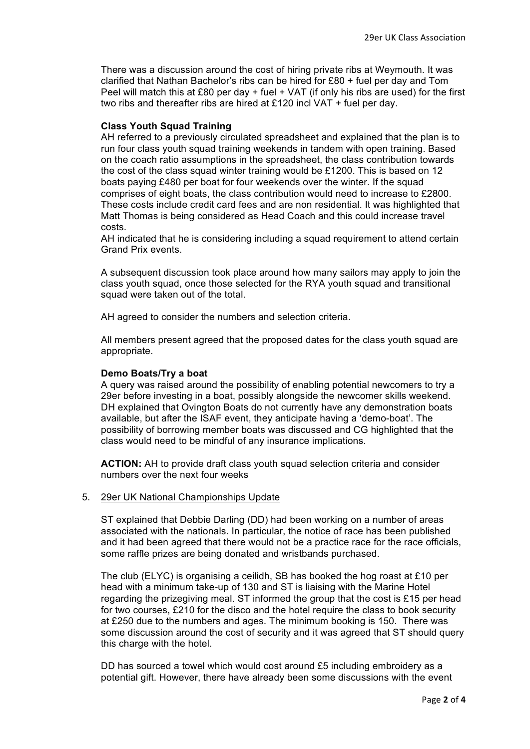There was a discussion around the cost of hiring private ribs at Weymouth. It was clarified that Nathan Bachelor's ribs can be hired for £80 + fuel per day and Tom Peel will match this at £80 per day  $+$  fuel  $+$  VAT (if only his ribs are used) for the first two ribs and thereafter ribs are hired at £120 incl VAT + fuel per day.

## **Class Youth Squad Training**

AH referred to a previously circulated spreadsheet and explained that the plan is to run four class youth squad training weekends in tandem with open training. Based on the coach ratio assumptions in the spreadsheet, the class contribution towards the cost of the class squad winter training would be £1200. This is based on 12 boats paying £480 per boat for four weekends over the winter. If the squad comprises of eight boats, the class contribution would need to increase to £2800. These costs include credit card fees and are non residential. It was highlighted that Matt Thomas is being considered as Head Coach and this could increase travel costs.

AH indicated that he is considering including a squad requirement to attend certain Grand Prix events.

A subsequent discussion took place around how many sailors may apply to join the class youth squad, once those selected for the RYA youth squad and transitional squad were taken out of the total.

AH agreed to consider the numbers and selection criteria.

All members present agreed that the proposed dates for the class youth squad are appropriate.

### **Demo Boats/Try a boat**

A query was raised around the possibility of enabling potential newcomers to try a 29er before investing in a boat, possibly alongside the newcomer skills weekend. DH explained that Ovington Boats do not currently have any demonstration boats available, but after the ISAF event, they anticipate having a 'demo-boat'. The possibility of borrowing member boats was discussed and CG highlighted that the class would need to be mindful of any insurance implications.

**ACTION:** AH to provide draft class youth squad selection criteria and consider numbers over the next four weeks

### 5. 29er UK National Championships Update

ST explained that Debbie Darling (DD) had been working on a number of areas associated with the nationals. In particular, the notice of race has been published and it had been agreed that there would not be a practice race for the race officials, some raffle prizes are being donated and wristbands purchased.

The club (ELYC) is organising a ceilidh, SB has booked the hog roast at £10 per head with a minimum take-up of 130 and ST is liaising with the Marine Hotel regarding the prizegiving meal. ST informed the group that the cost is £15 per head for two courses, £210 for the disco and the hotel require the class to book security at £250 due to the numbers and ages. The minimum booking is 150. There was some discussion around the cost of security and it was agreed that ST should query this charge with the hotel.

DD has sourced a towel which would cost around £5 including embroidery as a potential gift. However, there have already been some discussions with the event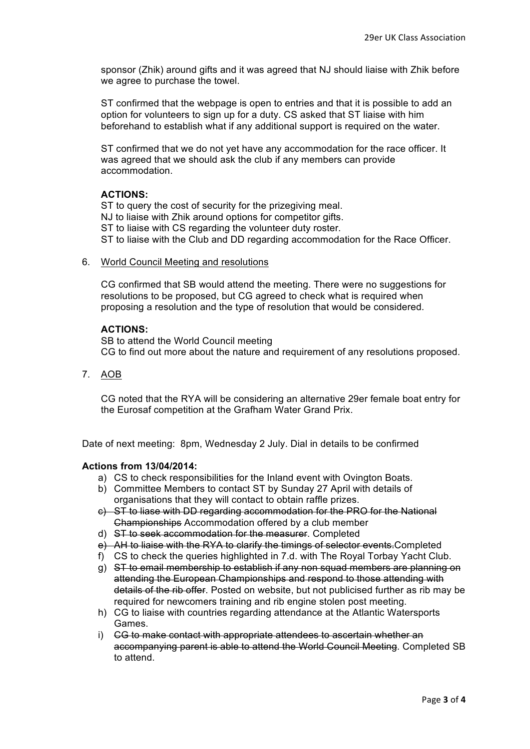sponsor (Zhik) around gifts and it was agreed that NJ should liaise with Zhik before we agree to purchase the towel.

ST confirmed that the webpage is open to entries and that it is possible to add an option for volunteers to sign up for a duty. CS asked that ST liaise with him beforehand to establish what if any additional support is required on the water.

ST confirmed that we do not yet have any accommodation for the race officer. It was agreed that we should ask the club if any members can provide accommodation.

# **ACTIONS:**

ST to query the cost of security for the prizegiving meal. NJ to liaise with Zhik around options for competitor gifts. ST to liaise with CS regarding the volunteer duty roster. ST to liaise with the Club and DD regarding accommodation for the Race Officer.

### 6. World Council Meeting and resolutions

CG confirmed that SB would attend the meeting. There were no suggestions for resolutions to be proposed, but CG agreed to check what is required when proposing a resolution and the type of resolution that would be considered.

### **ACTIONS:**

SB to attend the World Council meeting CG to find out more about the nature and requirement of any resolutions proposed.

7. AOB

CG noted that the RYA will be considering an alternative 29er female boat entry for the Eurosaf competition at the Grafham Water Grand Prix.

Date of next meeting: 8pm, Wednesday 2 July. Dial in details to be confirmed

### **Actions from 13/04/2014:**

- a) CS to check responsibilities for the Inland event with Ovington Boats.
- b) Committee Members to contact ST by Sunday 27 April with details of organisations that they will contact to obtain raffle prizes.
- c) ST to liase with DD regarding accommodation for the PRO for the National Championships Accommodation offered by a club member
- d) ST to seek accommodation for the measurer. Completed
- e) AH to liaise with the RYA to clarify the timings of selector events.Completed
- f) CS to check the queries highlighted in 7.d. with The Royal Torbay Yacht Club.
- g) ST to email membership to establish if any non squad members are planning on attending the European Championships and respond to those attending with details of the rib offer. Posted on website, but not publicised further as rib may be required for newcomers training and rib engine stolen post meeting.
- h) CG to liaise with countries regarding attendance at the Atlantic Watersports Games.
- i) CG to make contact with appropriate attendees to ascertain whether an accompanying parent is able to attend the World Council Meeting. Completed SB to attend.